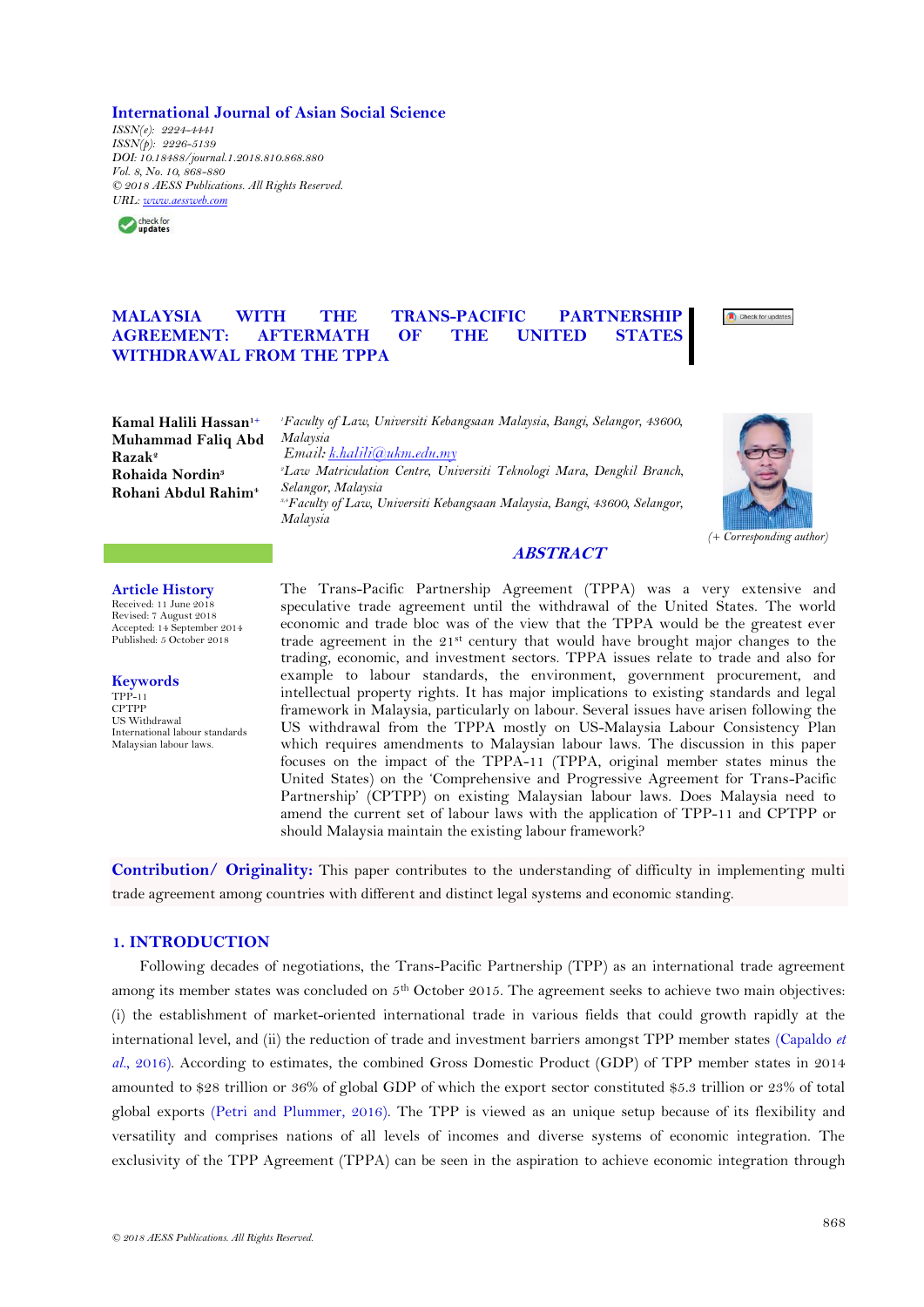**International Journal of Asian Social Science**

*ISSN(e): 2224-4441 ISSN(p): 2226-5139 DOI: 10.18488/journal.1.2018.810.868.880 Vol. 8, No. 10, 868-880 © 2018 AESS Publications. All Rights Reserved. URL: [www.aessweb.com](http://www.aessweb.com/)*



# **MALAYSIA WITH THE TRANS-PACIFIC PARTNERSHIP AGREEMENT: AFTERMATH OF THE UNITED STATES WITHDRAWAL FROM THE TPPA**



**Kamal Halili Hassan1+ Muhammad Faliq Abd Razak<sup>2</sup> Rohaida Nordin<sup>3</sup> Rohani Abdul Rahim<sup>4</sup>**

*<sup>1</sup>Faculty of Law, Universiti Kebangsaan Malaysia, Bangi, Selangor, 43600, Malaysia*<br>Email: k.halili@ukm.edu.my *<sup>2</sup>Law Matriculation Centre, Universiti Teknologi Mara, Dengkil Branch, Selangor, Malaysia 3,4Faculty of Law, Universiti Kebangsaan Malaysia, Bangi, 43600, Selangor, Malaysia*



### **ABSTRACT**

**Article History** Received: 11 June 2018 Revised: 7 August 2018 Accepted: 14 September 2014 Published: 5 October 2018

**Keywords**  $TPP_{-11}$ CPTPP US Withdrawal International labour standards Malaysian labour laws.

The Trans-Pacific Partnership Agreement (TPPA) was a very extensive and speculative trade agreement until the withdrawal of the United States. The world economic and trade bloc was of the view that the TPPA would be the greatest ever trade agreement in the  $21<sup>st</sup>$  century that would have brought major changes to the trading, economic, and investment sectors. TPPA issues relate to trade and also for example to labour standards, the environment, government procurement, and intellectual property rights. It has major implications to existing standards and legal framework in Malaysia, particularly on labour. Several issues have arisen following the US withdrawal from the TPPA mostly on US-Malaysia Labour Consistency Plan which requires amendments to Malaysian labour laws. The discussion in this paper focuses on the impact of the TPPA-11 (TPPA, original member states minus the United States) on the "Comprehensive and Progressive Agreement for Trans-Pacific Partnership" (CPTPP) on existing Malaysian labour laws. Does Malaysia need to amend the current set of labour laws with the application of TPP-11 and CPTPP or should Malaysia maintain the existing labour framework?

**Contribution/ Originality:** This paper contributes to the understanding of difficulty in implementing multi trade agreement among countries with different and distinct legal systems and economic standing.

# **1. INTRODUCTION**

Following decades of negotiations, the Trans-Pacific Partnership (TPP) as an international trade agreement among its member states was concluded on 5<sup>th</sup> October 2015. The agreement seeks to achieve two main objectives: (i) the establishment of market-oriented international trade in various fields that could growth rapidly at the international level, and (ii) the reduction of trade and investment barriers amongst TPP member states [\(Capaldo](#page-11-0) *et al.*[, 2016\)](#page-11-0). According to estimates, the combined Gross Domestic Product (GDP) of TPP member states in 2014 amounted to \$28 trillion or 36% of global GDP of which the export sector constituted \$5.3 trillion or 23% of total global exports [\(Petri and Plummer, 2016\)](#page-12-0). The TPP is viewed as an unique setup because of its flexibility and versatility and comprises nations of all levels of incomes and diverse systems of economic integration. The exclusivity of the TPP Agreement (TPPA) can be seen in the aspiration to achieve economic integration through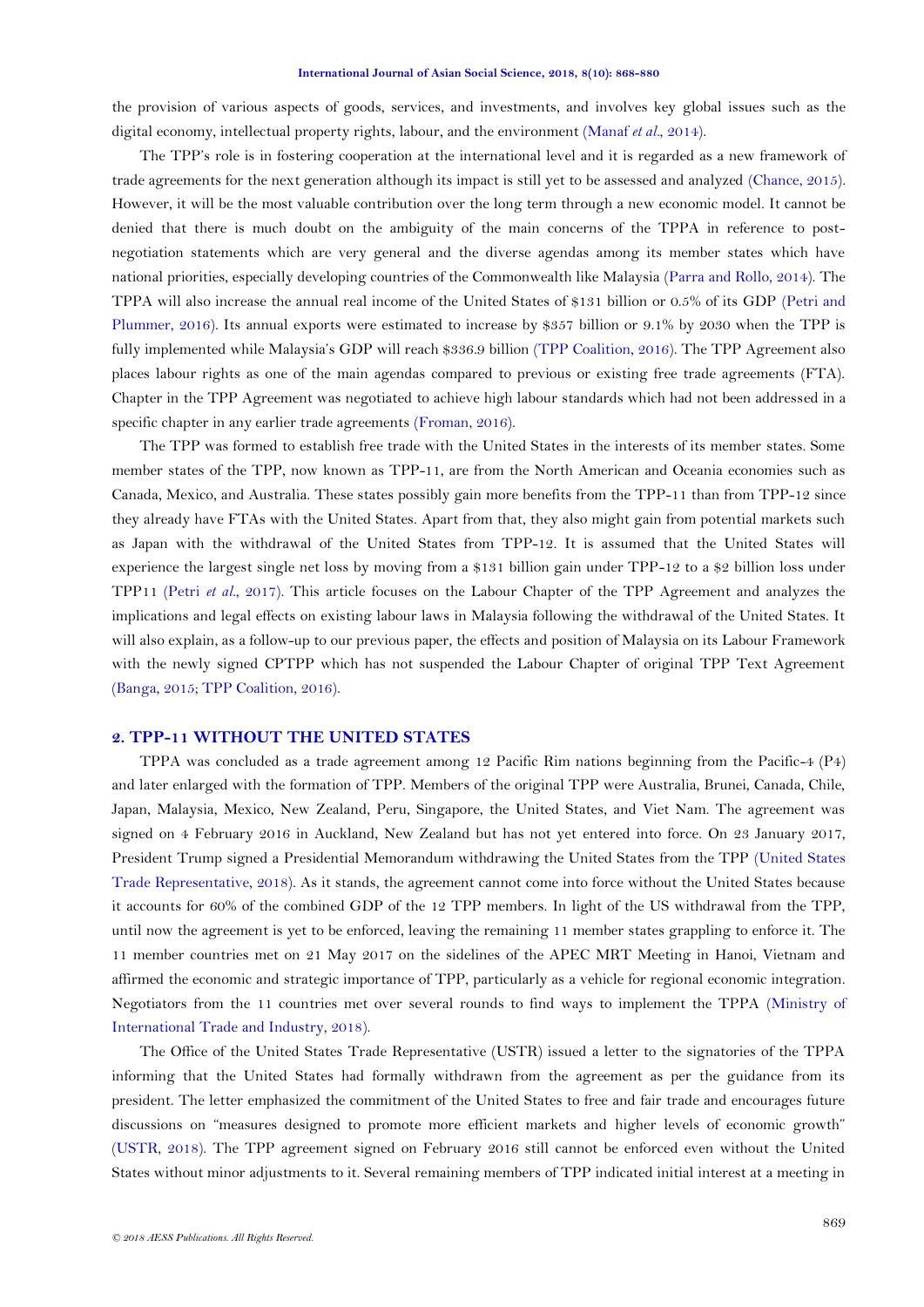the provision of various aspects of goods, services, and investments, and involves key global issues such as the digital economy, intellectual property rights, labour, and the environment [\(Manaf](#page-12-1) *et al.*, 2014).

The TPP"s role is in fostering cooperation at the international level and it is regarded as a new framework of trade agreements for the next generation although its impact is still yet to be assessed and analyzed [\(Chance, 2015\)](#page-11-1). However, it will be the most valuable contribution over the long term through a new economic model. It cannot be denied that there is much doubt on the ambiguity of the main concerns of the TPPA in reference to postnegotiation statements which are very general and the diverse agendas among its member states which have national priorities, especially developing countries of the Commonwealth like Malaysia [\(Parra and Rollo, 2014\)](#page-12-2). The TPPA will also increase the annual real income of the United States of \$131 billion or 0.5% of its GDP [\(Petri and](#page-12-0)  [Plummer, 2016\)](#page-12-0). Its annual exports were estimated to increase by \$357 billion or 9.1% by 2030 when the TPP is fully implemented while Malaysia"s GDP will reach \$336.9 billion [\(TPP Coalition, 2016\)](#page-12-3). The TPP Agreement also places labour rights as one of the main agendas compared to previous or existing free trade agreements (FTA). Chapter in the TPP Agreement was negotiated to achieve high labour standards which had not been addressed in a specific chapter in any earlier trade agreements [\(Froman, 2016\)](#page-11-2).

The TPP was formed to establish free trade with the United States in the interests of its member states. Some member states of the TPP, now known as TPP-11, are from the North American and Oceania economies such as Canada, Mexico, and Australia. These states possibly gain more benefits from the TPP-11 than from TPP-12 since they already have FTAs with the United States. Apart from that, they also might gain from potential markets such as Japan with the withdrawal of the United States from TPP-12. It is assumed that the United States will experience the largest single net loss by moving from a \$131 billion gain under TPP-12 to a \$2 billion loss under TPP11 (Petri *et al.*[, 2017\)](#page-12-4). This article focuses on the Labour Chapter of the TPP Agreement and analyzes the implications and legal effects on existing labour laws in Malaysia following the withdrawal of the United States. It will also explain, as a follow-up to our previous paper, the effects and position of Malaysia on its Labour Framework with the newly signed CPTPP which has not suspended the Labour Chapter of original TPP Text Agreement [\(Banga, 2015;](#page-11-3) [TPP Coalition, 2016\)](#page-12-3).

### **2. TPP-11 WITHOUT THE UNITED STATES**

TPPA was concluded as a trade agreement among 12 Pacific Rim nations beginning from the Pacific-4 (P4) and later enlarged with the formation of TPP. Members of the original TPP were Australia, Brunei, Canada, Chile, Japan, Malaysia, Mexico, New Zealand, Peru, Singapore, the United States, and Viet Nam. The agreement was signed on 4 February 2016 in Auckland, New Zealand but has not yet entered into force. On 23 January 2017, President Trump signed a Presidential Memorandum withdrawing the United States from the TPP [\(United States](#page-12-5)  [Trade Representative, 2018\)](#page-12-5). As it stands, the agreement cannot come into force without the United States because it accounts for 60% of the combined GDP of the 12 TPP members. In light of the US withdrawal from the TPP, until now the agreement is yet to be enforced, leaving the remaining 11 member states grappling to enforce it. The 11 member countries met on 21 May 2017 on the sidelines of the APEC MRT Meeting in Hanoi, Vietnam and affirmed the economic and strategic importance of TPP, particularly as a vehicle for regional economic integration. Negotiators from the 11 countries met over several rounds to find ways to implement the TPPA [\(Ministry of](#page-12-6)  [International Trade and Industry, 2018\)](#page-12-6).

The Office of the United States Trade Representative (USTR) issued a letter to the signatories of the TPPA informing that the United States had formally withdrawn from the agreement as per the guidance from its president. The letter emphasized the commitment of the United States to free and fair trade and encourages future discussions on "measures designed to promote more efficient markets and higher levels of economic growth" (USTR, 2018). The TPP agreement signed on February 2016 still cannot be enforced even without the United States without minor adjustments to it. Several remaining members of TPP indicated initial interest at a meeting in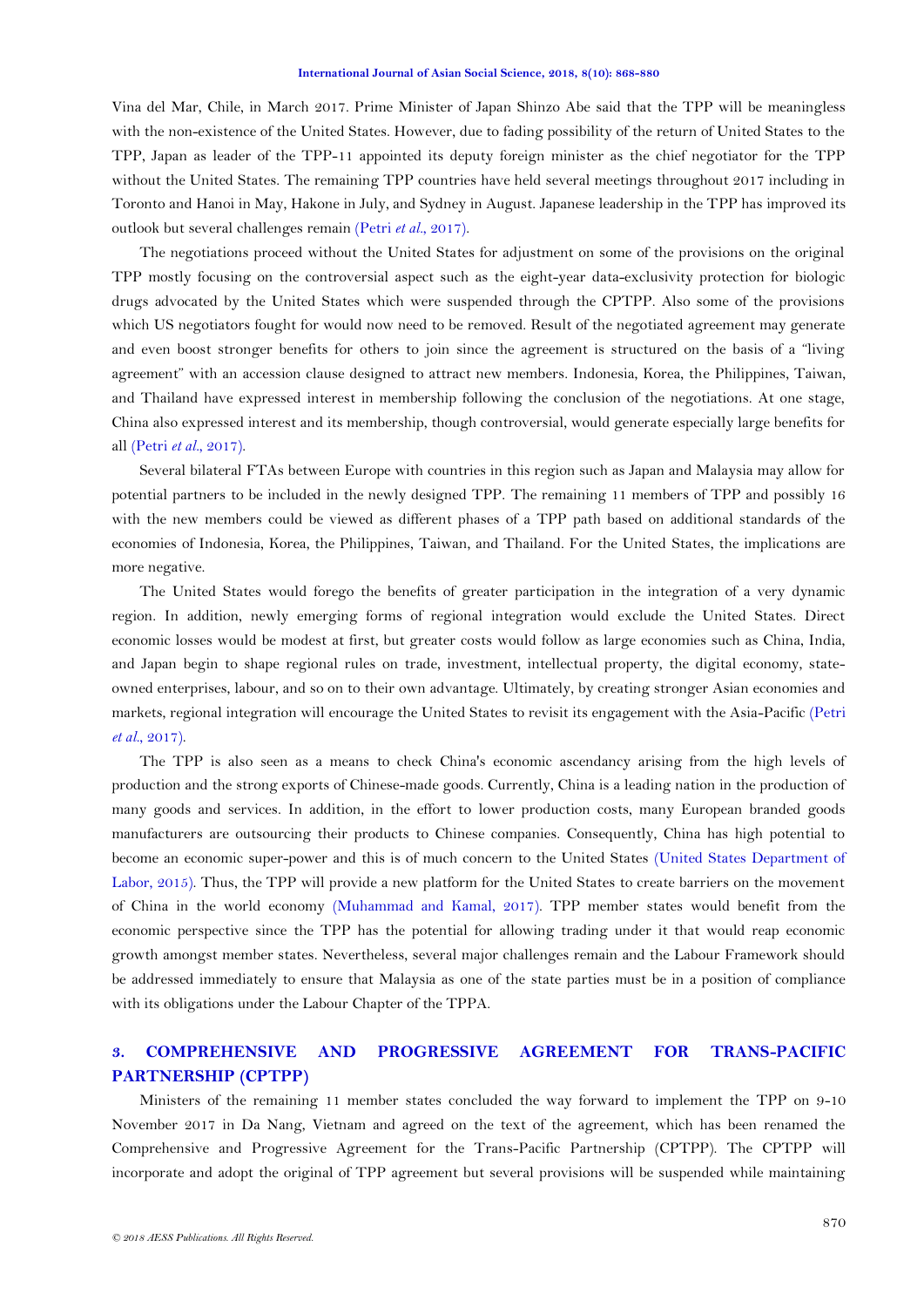Vina del Mar, Chile, in March 2017. Prime Minister of Japan Shinzo Abe said that the TPP will be meaningless with the non-existence of the United States. However, due to fading possibility of the return of United States to the TPP, Japan as leader of the TPP-11 appointed its deputy foreign minister as the chief negotiator for the TPP without the United States. The remaining TPP countries have held several meetings throughout 2017 including in Toronto and Hanoi in May, Hakone in July, and Sydney in August. Japanese leadership in the TPP has improved its outlook but several challenges remain (Petri *et al.*[, 2017\)](#page-12-4).

The negotiations proceed without the United States for adjustment on some of the provisions on the original TPP mostly focusing on the controversial aspect such as the eight-year data-exclusivity protection for biologic drugs advocated by the United States which were suspended through the CPTPP. Also some of the provisions which US negotiators fought for would now need to be removed. Result of the negotiated agreement may generate and even boost stronger benefits for others to join since the agreement is structured on the basis of a "living agreement" with an accession clause designed to attract new members. Indonesia, Korea, the Philippines, Taiwan, and Thailand have expressed interest in membership following the conclusion of the negotiations. At one stage, China also expressed interest and its membership, though controversial, would generate especially large benefits for all (Petri *et al.*[, 2017\)](#page-12-4).

Several bilateral FTAs between Europe with countries in this region such as Japan and Malaysia may allow for potential partners to be included in the newly designed TPP. The remaining 11 members of TPP and possibly 16 with the new members could be viewed as different phases of a TPP path based on additional standards of the economies of Indonesia, Korea, the Philippines, Taiwan, and Thailand. For the United States, the implications are more negative.

The United States would forego the benefits of greater participation in the integration of a very dynamic region. In addition, newly emerging forms of regional integration would exclude the United States. Direct economic losses would be modest at first, but greater costs would follow as large economies such as China, India, and Japan begin to shape regional rules on trade, investment, intellectual property, the digital economy, stateowned enterprises, labour, and so on to their own advantage. Ultimately, by creating stronger Asian economies and markets, regional integration will encourage the United States to revisit its engagement with the Asia-Pacific [\(Petri](#page-12-4) *et al.*[, 2017\)](#page-12-4).

The TPP is also seen as a means to check China's economic ascendancy arising from the high levels of production and the strong exports of Chinese-made goods. Currently, China is a leading nation in the production of many goods and services. In addition, in the effort to lower production costs, many European branded goods manufacturers are outsourcing their products to Chinese companies. Consequently, China has high potential to become an economic super-power and this is of much concern to the United States [\(United States Department of](#page-12-7)  [Labor, 2015\)](#page-12-7). Thus, the TPP will provide a new platform for the United States to create barriers on the movement of China in the world economy [\(Muhammad and Kamal, 2017\)](#page-12-8). TPP member states would benefit from the economic perspective since the TPP has the potential for allowing trading under it that would reap economic growth amongst member states. Nevertheless, several major challenges remain and the Labour Framework should be addressed immediately to ensure that Malaysia as one of the state parties must be in a position of compliance with its obligations under the Labour Chapter of the TPPA.

# **3. COMPREHENSIVE AND PROGRESSIVE AGREEMENT FOR TRANS-PACIFIC PARTNERSHIP (CPTPP)**

Ministers of the remaining 11 member states concluded the way forward to implement the TPP on 9-10 November 2017 in Da Nang, Vietnam and agreed on the text of the agreement, which has been renamed the Comprehensive and Progressive Agreement for the Trans-Pacific Partnership (CPTPP). The CPTPP will incorporate and adopt the original of TPP agreement but several provisions will be suspended while maintaining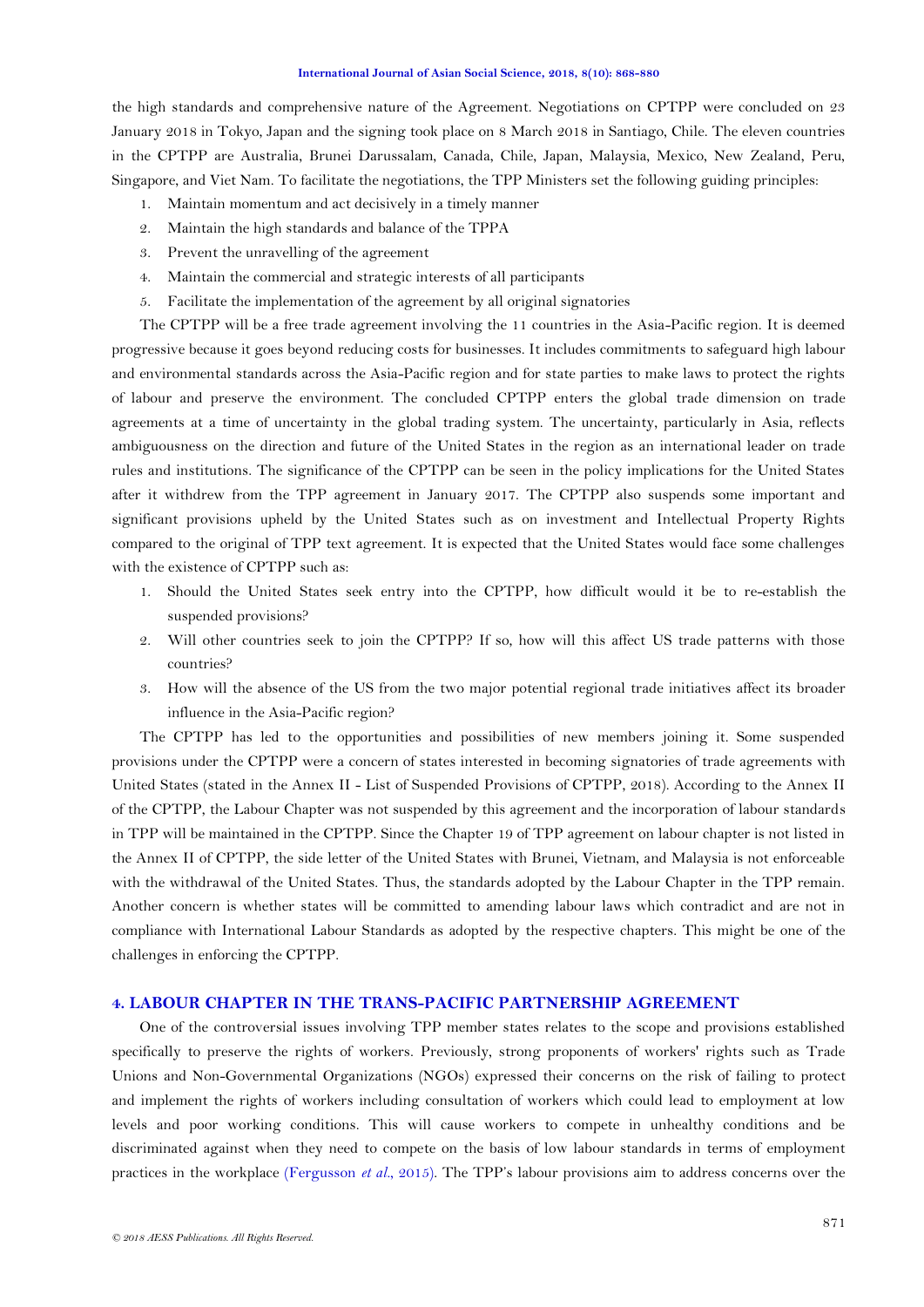the high standards and comprehensive nature of the Agreement. Negotiations on CPTPP were concluded on 23 January 2018 in Tokyo, Japan and the signing took place on 8 March 2018 in Santiago, Chile. The eleven countries in the CPTPP are Australia, Brunei Darussalam, Canada, Chile, Japan, Malaysia, Mexico, New Zealand, Peru, Singapore, and Viet Nam. To facilitate the negotiations, the TPP Ministers set the following guiding principles:

- 1. Maintain momentum and act decisively in a timely manner
- 2. Maintain the high standards and balance of the TPPA
- 3. Prevent the unravelling of the agreement
- 4. Maintain the commercial and strategic interests of all participants
- 5. Facilitate the implementation of the agreement by all original signatories

The CPTPP will be a free trade agreement involving the 11 countries in the Asia-Pacific region. It is deemed progressive because it goes beyond reducing costs for businesses. It includes commitments to safeguard high labour and environmental standards across the Asia-Pacific region and for state parties to make laws to protect the rights of labour and preserve the environment. The concluded CPTPP enters the global trade dimension on trade agreements at a time of uncertainty in the global trading system. The uncertainty, particularly in Asia, reflects ambiguousness on the direction and future of the United States in the region as an international leader on trade rules and institutions. The significance of the CPTPP can be seen in the policy implications for the United States after it withdrew from the TPP agreement in January 2017. The CPTPP also suspends some important and significant provisions upheld by the United States such as on investment and Intellectual Property Rights compared to the original of TPP text agreement. It is expected that the United States would face some challenges with the existence of CPTPP such as:

- 1. Should the United States seek entry into the CPTPP, how difficult would it be to re-establish the suspended provisions?
- 2. Will other countries seek to join the CPTPP? If so, how will this affect US trade patterns with those countries?
- 3. How will the absence of the US from the two major potential regional trade initiatives affect its broader influence in the Asia-Pacific region?

The CPTPP has led to the opportunities and possibilities of new members joining it. Some suspended provisions under the CPTPP were a concern of states interested in becoming signatories of trade agreements with United States (stated in the Annex II - List of Suspended Provisions of CPTPP, 2018). According to the Annex II of the CPTPP, the Labour Chapter was not suspended by this agreement and the incorporation of labour standards in TPP will be maintained in the CPTPP. Since the Chapter 19 of TPP agreement on labour chapter is not listed in the Annex II of CPTPP, the side letter of the United States with Brunei, Vietnam, and Malaysia is not enforceable with the withdrawal of the United States. Thus, the standards adopted by the Labour Chapter in the TPP remain. Another concern is whether states will be committed to amending labour laws which contradict and are not in compliance with International Labour Standards as adopted by the respective chapters. This might be one of the challenges in enforcing the CPTPP.

### **4. LABOUR CHAPTER IN THE TRANS-PACIFIC PARTNERSHIP AGREEMENT**

One of the controversial issues involving TPP member states relates to the scope and provisions established specifically to preserve the rights of workers. Previously, strong proponents of workers' rights such as Trade Unions and Non-Governmental Organizations (NGOs) expressed their concerns on the risk of failing to protect and implement the rights of workers including consultation of workers which could lead to employment at low levels and poor working conditions. This will cause workers to compete in unhealthy conditions and be discriminated against when they need to compete on the basis of low labour standards in terms of employment practices in the workplace [\(Fergusson](#page-11-4) *et al.*, 2015). The TPP"s labour provisions aim to address concerns over the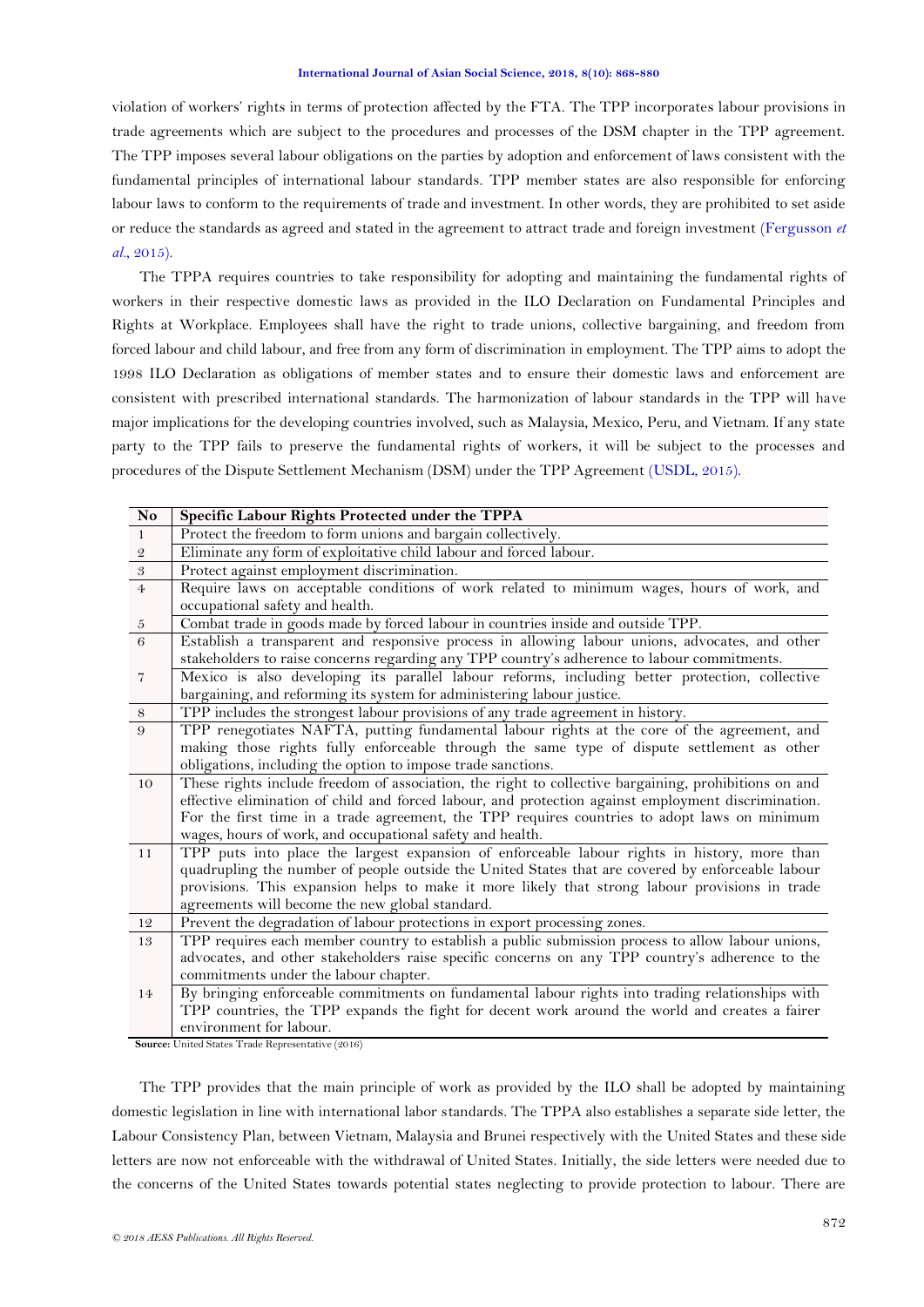violation of workers" rights in terms of protection affected by the FTA. The TPP incorporates labour provisions in trade agreements which are subject to the procedures and processes of the DSM chapter in the TPP agreement. The TPP imposes several labour obligations on the parties by adoption and enforcement of laws consistent with the fundamental principles of international labour standards. TPP member states are also responsible for enforcing labour laws to conform to the requirements of trade and investment. In other words, they are prohibited to set aside or reduce the standards as agreed and stated in the agreement to attract trade and foreign investment [\(Fergusson](#page-11-4) *et al.*[, 2015\)](#page-11-4).

The TPPA requires countries to take responsibility for adopting and maintaining the fundamental rights of workers in their respective domestic laws as provided in the ILO Declaration on Fundamental Principles and Rights at Workplace. Employees shall have the right to trade unions, collective bargaining, and freedom from forced labour and child labour, and free from any form of discrimination in employment. The TPP aims to adopt the 1998 ILO Declaration as obligations of member states and to ensure their domestic laws and enforcement are consistent with prescribed international standards. The harmonization of labour standards in the TPP will have major implications for the developing countries involved, such as Malaysia, Mexico, Peru, and Vietnam. If any state party to the TPP fails to preserve the fundamental rights of workers, it will be subject to the processes and procedures of the Dispute Settlement Mechanism (DSM) under the TPP Agreement (USDL, 2015).

| $\mathbf{No}$  | Specific Labour Rights Protected under the TPPA                                                                              |  |  |  |  |  |
|----------------|------------------------------------------------------------------------------------------------------------------------------|--|--|--|--|--|
| $\mathbf{1}$   | Protect the freedom to form unions and bargain collectively.                                                                 |  |  |  |  |  |
| $\mathbf 2$    | Eliminate any form of exploitative child labour and forced labour.                                                           |  |  |  |  |  |
| $\sqrt{3}$     | Protect against employment discrimination.                                                                                   |  |  |  |  |  |
| $\overline{4}$ | Require laws on acceptable conditions of work related to minimum wages, hours of work, and                                   |  |  |  |  |  |
|                | occupational safety and health.                                                                                              |  |  |  |  |  |
| $\sqrt{5}$     | Combat trade in goods made by forced labour in countries inside and outside TPP.                                             |  |  |  |  |  |
| 6              | Establish a transparent and responsive process in allowing labour unions, advocates, and other                               |  |  |  |  |  |
|                | stakeholders to raise concerns regarding any TPP country's adherence to labour commitments.                                  |  |  |  |  |  |
| $\overline{7}$ | Mexico is also developing its parallel labour reforms, including better protection, collective                               |  |  |  |  |  |
|                | bargaining, and reforming its system for administering labour justice.                                                       |  |  |  |  |  |
| $\,$ 8 $\,$    | TPP includes the strongest labour provisions of any trade agreement in history.                                              |  |  |  |  |  |
| 9              | TPP renegotiates NAFTA, putting fundamental labour rights at the core of the agreement, and                                  |  |  |  |  |  |
|                | making those rights fully enforceable through the same type of dispute settlement as other                                   |  |  |  |  |  |
|                | obligations, including the option to impose trade sanctions.                                                                 |  |  |  |  |  |
| 10             | These rights include freedom of association, the right to collective bargaining, prohibitions on and                         |  |  |  |  |  |
|                | effective elimination of child and forced labour, and protection against employment discrimination.                          |  |  |  |  |  |
|                | For the first time in a trade agreement, the TPP requires countries to adopt laws on minimum                                 |  |  |  |  |  |
|                | wages, hours of work, and occupational safety and health.                                                                    |  |  |  |  |  |
| 11             | TPP puts into place the largest expansion of enforceable labour rights in history, more than                                 |  |  |  |  |  |
|                | quadrupling the number of people outside the United States that are covered by enforceable labour                            |  |  |  |  |  |
|                | provisions. This expansion helps to make it more likely that strong labour provisions in trade                               |  |  |  |  |  |
| 12             | agreements will become the new global standard.<br>Prevent the degradation of labour protections in export processing zones. |  |  |  |  |  |
| 13             | TPP requires each member country to establish a public submission process to allow labour unions,                            |  |  |  |  |  |
|                | advocates, and other stakeholders raise specific concerns on any TPP country's adherence to the                              |  |  |  |  |  |
|                | commitments under the labour chapter.                                                                                        |  |  |  |  |  |
| 14             | By bringing enforceable commitments on fundamental labour rights into trading relationships with                             |  |  |  |  |  |
|                | TPP countries, the TPP expands the fight for decent work around the world and creates a fairer                               |  |  |  |  |  |
|                | environment for labour.                                                                                                      |  |  |  |  |  |

**Source:** United States Trade Representative (2016)

The TPP provides that the main principle of work as provided by the ILO shall be adopted by maintaining domestic legislation in line with international labor standards. The TPPA also establishes a separate side letter, the Labour Consistency Plan, between Vietnam, Malaysia and Brunei respectively with the United States and these side letters are now not enforceable with the withdrawal of United States. Initially, the side letters were needed due to the concerns of the United States towards potential states neglecting to provide protection to labour. There are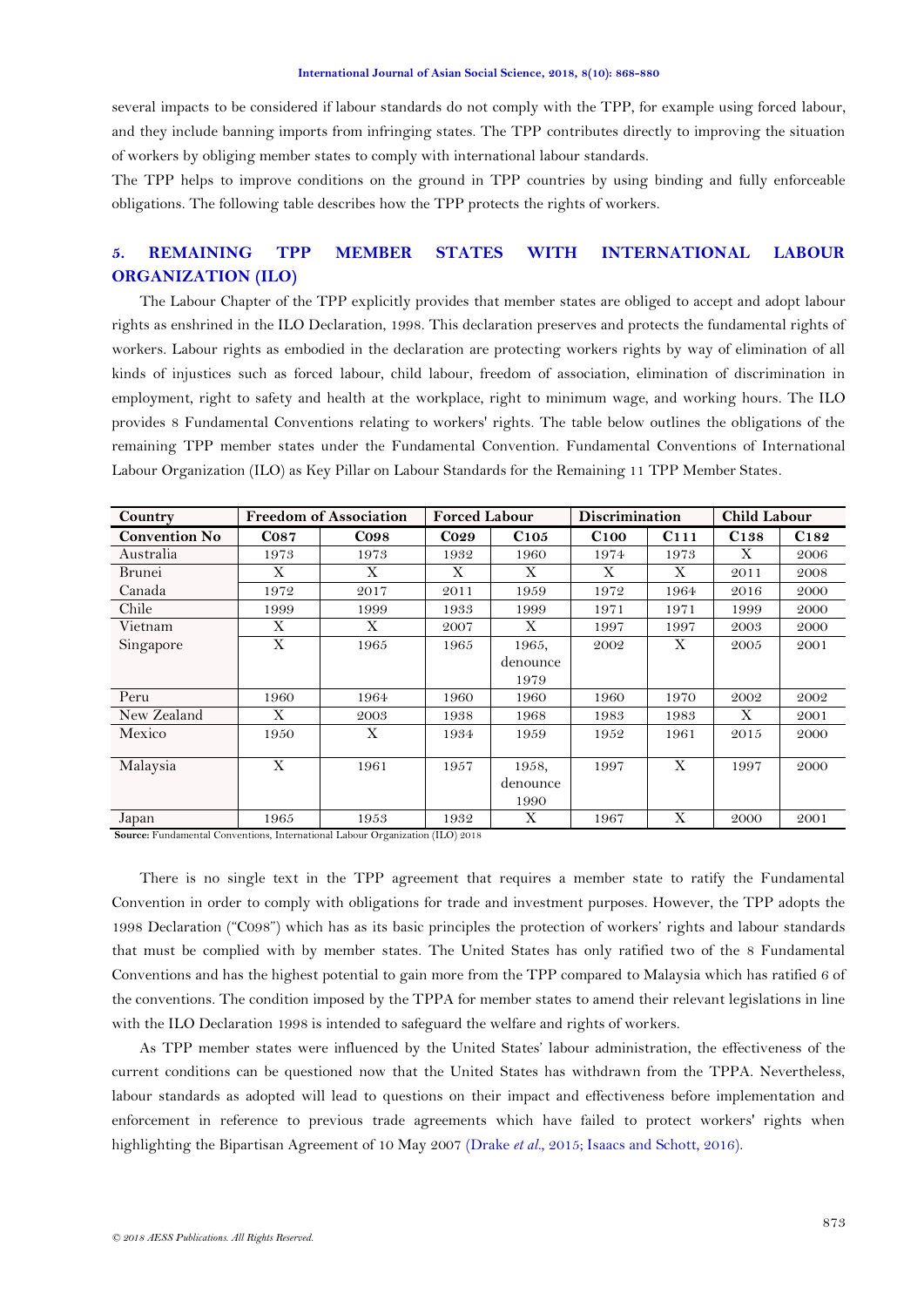several impacts to be considered if labour standards do not comply with the TPP, for example using forced labour, and they include banning imports from infringing states. The TPP contributes directly to improving the situation of workers by obliging member states to comply with international labour standards.

The TPP helps to improve conditions on the ground in TPP countries by using binding and fully enforceable obligations. The following table describes how the TPP protects the rights of workers.

# **5. REMAINING TPP MEMBER STATES WITH INTERNATIONAL LABOUR ORGANIZATION (ILO)**

The Labour Chapter of the TPP explicitly provides that member states are obliged to accept and adopt labour rights as enshrined in the ILO Declaration, 1998. This declaration preserves and protects the fundamental rights of workers. Labour rights as embodied in the declaration are protecting workers rights by way of elimination of all kinds of injustices such as forced labour, child labour, freedom of association, elimination of discrimination in employment, right to safety and health at the workplace, right to minimum wage, and working hours. The ILO provides 8 Fundamental Conventions relating to workers' rights. The table below outlines the obligations of the remaining TPP member states under the Fundamental Convention. Fundamental Conventions of International Labour Organization (ILO) as Key Pillar on Labour Standards for the Remaining 11 TPP Member States.

| Country              | <b>Freedom of Association</b> |        | <b>Forced Labour</b> |          | <b>Discrimination</b> |                  | <b>Child Labour</b> |      |
|----------------------|-------------------------------|--------|----------------------|----------|-----------------------|------------------|---------------------|------|
| <b>Convention No</b> | $\cos$                        | $\cos$ | <b>Co29</b>          | C105     | C100                  | C <sub>111</sub> | C <sub>138</sub>    | C182 |
| Australia            | 1973                          | 1973   | 1932                 | 1960     | 1974                  | 1973             | X                   | 2006 |
| Brunei               | X                             | X      | X                    | X        | X                     | X                | 2011                | 2008 |
| Canada               | 1972                          | 2017   | 2011                 | 1959     | 1972                  | 1964             | 2016                | 2000 |
| Chile                | 1999                          | 1999   | 1933                 | 1999     | 1971                  | 1971             | 1999                | 2000 |
| Vietnam              | X                             | X      | 2007                 | X        | 1997                  | 1997             | 2003                | 2000 |
| Singapore            | X                             | 1965   | 1965                 | 1965,    | 2002                  | X                | 2005                | 2001 |
|                      |                               |        |                      | denounce |                       |                  |                     |      |
|                      |                               |        |                      | 1979     |                       |                  |                     |      |
| Peru                 | 1960                          | 1964   | 1960                 | 1960     | 1960                  | 1970             | 2002                | 2002 |
| New Zealand          | X                             | 2003   | 1938                 | 1968     | 1983                  | 1983             | X                   | 2001 |
| Mexico               | 1950                          | X      | 1934                 | 1959     | 1952                  | 1961             | 2015                | 2000 |
|                      |                               |        |                      |          |                       |                  |                     |      |
| Malaysia             | X                             | 1961   | 1957                 | 1958,    | 1997                  | X                | 1997                | 2000 |
|                      |                               |        |                      | denounce |                       |                  |                     |      |
|                      |                               |        |                      | 1990     |                       |                  |                     |      |
| Japan                | 1965                          | 1953   | 1932                 | X        | 1967                  | Χ                | 2000                | 2001 |

**Source:** Fundamental Conventions, International Labour Organization (ILO) 2018

There is no single text in the TPP agreement that requires a member state to ratify the Fundamental Convention in order to comply with obligations for trade and investment purposes. However, the TPP adopts the 1998 Declaration ("C098") which has as its basic principles the protection of workers" rights and labour standards that must be complied with by member states. The United States has only ratified two of the 8 Fundamental Conventions and has the highest potential to gain more from the TPP compared to Malaysia which has ratified 6 of the conventions. The condition imposed by the TPPA for member states to amend their relevant legislations in line with the ILO Declaration 1998 is intended to safeguard the welfare and rights of workers.

As TPP member states were influenced by the United States" labour administration, the effectiveness of the current conditions can be questioned now that the United States has withdrawn from the TPPA. Nevertheless, labour standards as adopted will lead to questions on their impact and effectiveness before implementation and enforcement in reference to previous trade agreements which have failed to protect workers' rights when highlighting the Bipartisan Agreement of 10 May 2007 [\(Drake](#page-11-5) *et al.*, 2015; [Isaacs and Schott, 2016\)](#page-11-6).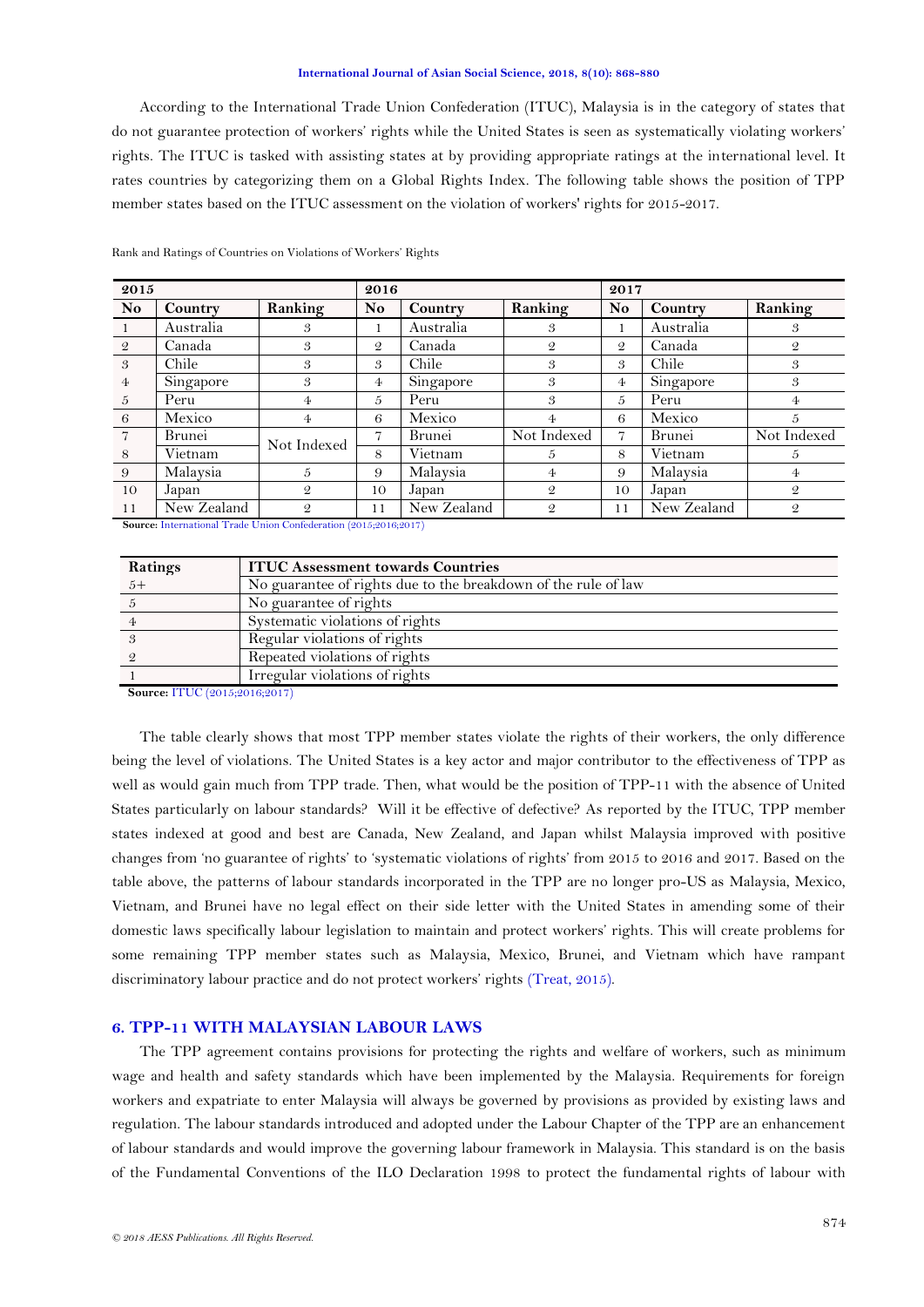According to the International Trade Union Confederation (ITUC), Malaysia is in the category of states that do not guarantee protection of workers" rights while the United States is seen as systematically violating workers" rights. The ITUC is tasked with assisting states at by providing appropriate ratings at the international level. It rates countries by categorizing them on a Global Rights Index. The following table shows the position of TPP member states based on the ITUC assessment on the violation of workers' rights for 2015-2017.

| 2015           |             |                | 2016           |             |                | 2017           |             |                |
|----------------|-------------|----------------|----------------|-------------|----------------|----------------|-------------|----------------|
| <b>No</b>      | Country     | Ranking        | N <sub>o</sub> | Country     | Ranking        | No             | Country     | Ranking        |
| - 1            | Australia   | 3              |                | Australia   | 3              |                | Australia   | 3              |
| - 2            | Canada      | 3              | $\mathcal{Q}$  | Canada      | $\mathcal{Q}$  | $\mathcal{Q}$  | Canada      | $\mathfrak{D}$ |
| $\overline{3}$ | Chile       | 3              | 3              | Chile       | 3              | 3              | Chile       | 3              |
| $\overline{4}$ | Singapore   | 3              | $\overline{4}$ | Singapore   | 3              | 4              | Singapore   | 3              |
| $\overline{5}$ | Peru        | 4              | 5              | Peru        | 3              | 5              | Peru        | 4              |
| 6              | Mexico      | 4              | 6              | Mexico      | 4              | 6              | Mexico      | 5              |
| $\overline{7}$ | Brunei      | Not Indexed    | 7              | Brunei      | Not Indexed    | $\overline{7}$ | Brunei      | Not Indexed    |
| 8              | Vietnam     |                | 8              | Vietnam     | 5              | 8              | Vietnam     | 5              |
| 9              | Malaysia    | 5              | 9              | Malaysia    | 4              | 9              | Malaysia    | $\overline{4}$ |
| 10             | Japan       | $\mathfrak{D}$ | 10             | Japan       | $\mathcal{Q}$  | 10             | Japan       | $\mathfrak{D}$ |
| <sup>11</sup>  | New Zealand | $\mathcal{Q}$  | 11             | New Zealand | $\mathfrak{D}$ | 11             | New Zealand | $\mathfrak{D}$ |

Rank and Ratings of Countries on Violations of Workers" Rights

**Source:** [International Trade Union Confederation \(2015;2016;2017\)](#page-11-7)

| Ratings | <b>ITUC Assessment towards Countries</b>                       |
|---------|----------------------------------------------------------------|
|         | No guarantee of rights due to the breakdown of the rule of law |
|         | No guarantee of rights                                         |
|         | Systematic violations of rights                                |
|         | Regular violations of rights                                   |
|         | Repeated violations of rights                                  |
|         | Irregular violations of rights                                 |

 **Source:** ITUC (2015;2016;2017)

The table clearly shows that most TPP member states violate the rights of their workers, the only difference being the level of violations. The United States is a key actor and major contributor to the effectiveness of TPP as well as would gain much from TPP trade. Then, what would be the position of TPP-11 with the absence of United States particularly on labour standards? Will it be effective of defective? As reported by the ITUC, TPP member states indexed at good and best are Canada, New Zealand, and Japan whilst Malaysia improved with positive changes from "no guarantee of rights" to "systematic violations of rights" from 2015 to 2016 and 2017. Based on the table above, the patterns of labour standards incorporated in the TPP are no longer pro-US as Malaysia, Mexico, Vietnam, and Brunei have no legal effect on their side letter with the United States in amending some of their domestic laws specifically labour legislation to maintain and protect workers" rights. This will create problems for some remaining TPP member states such as Malaysia, Mexico, Brunei, and Vietnam which have rampant discriminatory labour practice and do not protect workers' rights [\(Treat, 2015\)](#page-12-9).

### **6. TPP-11 WITH MALAYSIAN LABOUR LAWS**

The TPP agreement contains provisions for protecting the rights and welfare of workers, such as minimum wage and health and safety standards which have been implemented by the Malaysia. Requirements for foreign workers and expatriate to enter Malaysia will always be governed by provisions as provided by existing laws and regulation. The labour standards introduced and adopted under the Labour Chapter of the TPP are an enhancement of labour standards and would improve the governing labour framework in Malaysia. This standard is on the basis of the Fundamental Conventions of the ILO Declaration 1998 to protect the fundamental rights of labour with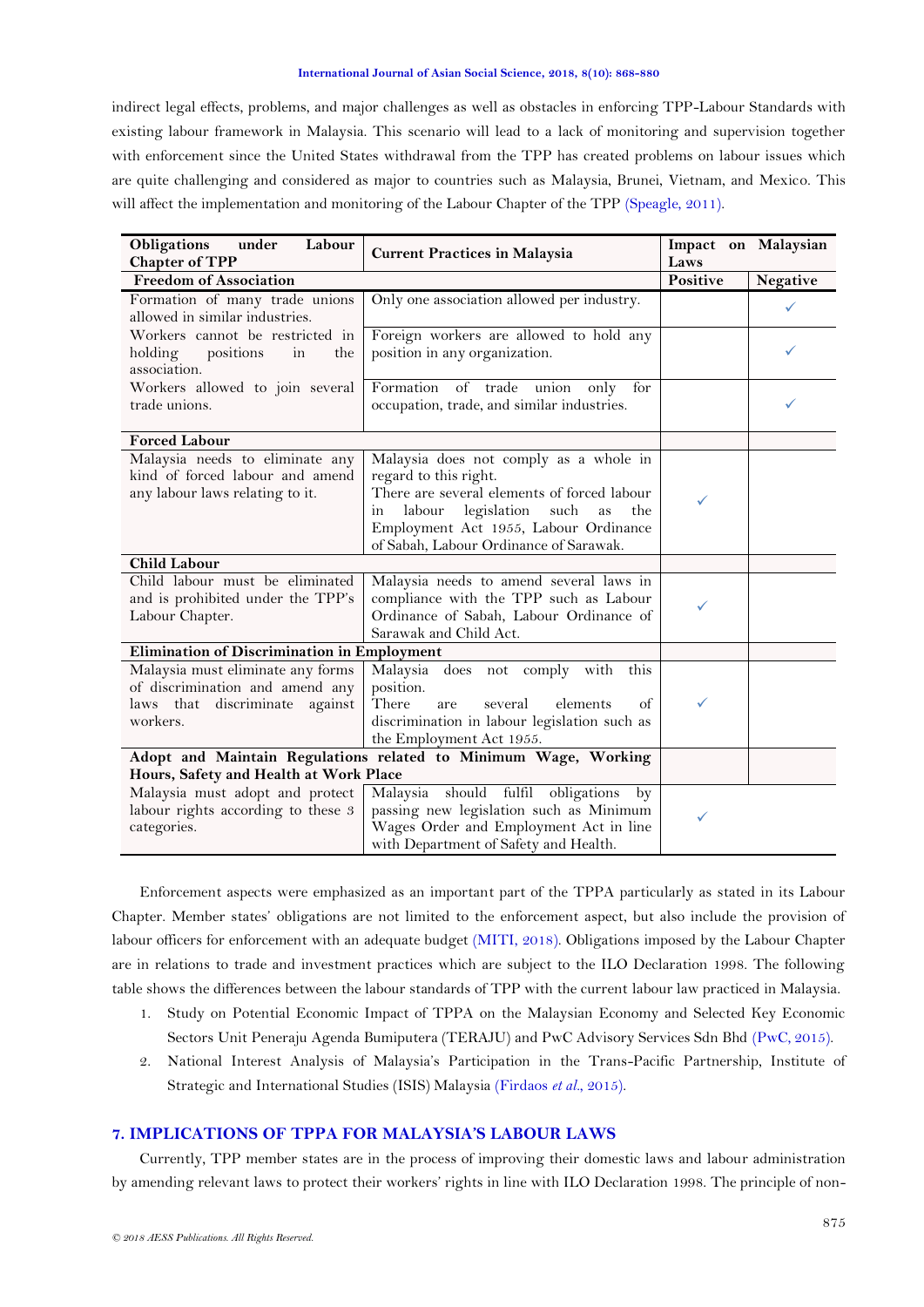indirect legal effects, problems, and major challenges as well as obstacles in enforcing TPP-Labour Standards with existing labour framework in Malaysia. This scenario will lead to a lack of monitoring and supervision together with enforcement since the United States withdrawal from the TPP has created problems on labour issues which are quite challenging and considered as major to countries such as Malaysia, Brunei, Vietnam, and Mexico. This will affect the implementation and monitoring of the Labour Chapter of the TPP [\(Speagle, 2011\)](#page-12-10).

| Obligations<br>Labour<br>under<br><b>Chapter of TPP</b>                                                            | <b>Current Practices in Malaysia</b>                                                                                                                                                                                                                  | Impact on Malaysian<br>Laws |          |
|--------------------------------------------------------------------------------------------------------------------|-------------------------------------------------------------------------------------------------------------------------------------------------------------------------------------------------------------------------------------------------------|-----------------------------|----------|
| <b>Freedom of Association</b>                                                                                      |                                                                                                                                                                                                                                                       | Positive                    | Negative |
| Formation of many trade unions<br>allowed in similar industries.                                                   | Only one association allowed per industry.                                                                                                                                                                                                            |                             | ✓        |
| Workers cannot be restricted in<br>holding<br>positions<br>in<br>the<br>association.                               | Foreign workers are allowed to hold any<br>position in any organization.                                                                                                                                                                              |                             |          |
| Workers allowed to join several<br>trade unions.                                                                   | Formation of trade union<br>only<br>for<br>occupation, trade, and similar industries.                                                                                                                                                                 |                             |          |
| <b>Forced Labour</b>                                                                                               |                                                                                                                                                                                                                                                       |                             |          |
| Malaysia needs to eliminate any<br>kind of forced labour and amend<br>any labour laws relating to it.              | Malaysia does not comply as a whole in<br>regard to this right.<br>There are several elements of forced labour<br>legislation<br>such<br>the<br>labour<br>as<br>ın<br>Employment Act 1955, Labour Ordinance<br>of Sabah, Labour Ordinance of Sarawak. | ✓                           |          |
| <b>Child Labour</b>                                                                                                |                                                                                                                                                                                                                                                       |                             |          |
| Child labour must be eliminated<br>and is prohibited under the TPP's<br>Labour Chapter.                            | Malaysia needs to amend several laws in<br>compliance with the TPP such as Labour<br>Ordinance of Sabah, Labour Ordinance of<br>Sarawak and Child Act.                                                                                                | ✓                           |          |
| <b>Elimination of Discrimination in Employment</b>                                                                 |                                                                                                                                                                                                                                                       |                             |          |
| Malaysia must eliminate any forms<br>of discrimination and amend any<br>laws that discriminate against<br>workers. | Malaysia does not comply with<br>this<br>position.<br>There<br>several<br>elements<br>of<br>are<br>discrimination in labour legislation such as<br>the Employment Act 1955.                                                                           | $\checkmark$                |          |
| Adopt and Maintain Regulations related to Minimum Wage, Working<br>Hours, Safety and Health at Work Place          |                                                                                                                                                                                                                                                       |                             |          |
| Malaysia must adopt and protect<br>labour rights according to these 3<br>categories.                               | Malaysia should fulfil<br>obligations<br>by<br>passing new legislation such as Minimum<br>Wages Order and Employment Act in line<br>with Department of Safety and Health.                                                                             | ✓                           |          |

Enforcement aspects were emphasized as an important part of the TPPA particularly as stated in its Labour Chapter. Member states" obligations are not limited to the enforcement aspect, but also include the provision of labour officers for enforcement with an adequate budget (MITI, 2018). Obligations imposed by the Labour Chapter are in relations to trade and investment practices which are subject to the ILO Declaration 1998. The following table shows the differences between the labour standards of TPP with the current labour law practiced in Malaysia.

- 1. Study on Potential Economic Impact of TPPA on the Malaysian Economy and Selected Key Economic Sectors Unit Peneraju Agenda Bumiputera (TERAJU) and PwC Advisory Services Sdn Bhd [\(PwC, 2015\)](#page-12-11).
- 2. National Interest Analysis of Malaysia"s Participation in the Trans-Pacific Partnership, Institute of Strategic and International Studies (ISIS) Malaysia [\(Firdaos](#page-11-8) *et al.*, 2015).

# **7. IMPLICATIONS OF TPPA FOR MALAYSIA'S LABOUR LAWS**

Currently, TPP member states are in the process of improving their domestic laws and labour administration by amending relevant laws to protect their workers' rights in line with ILO Declaration 1998. The principle of non-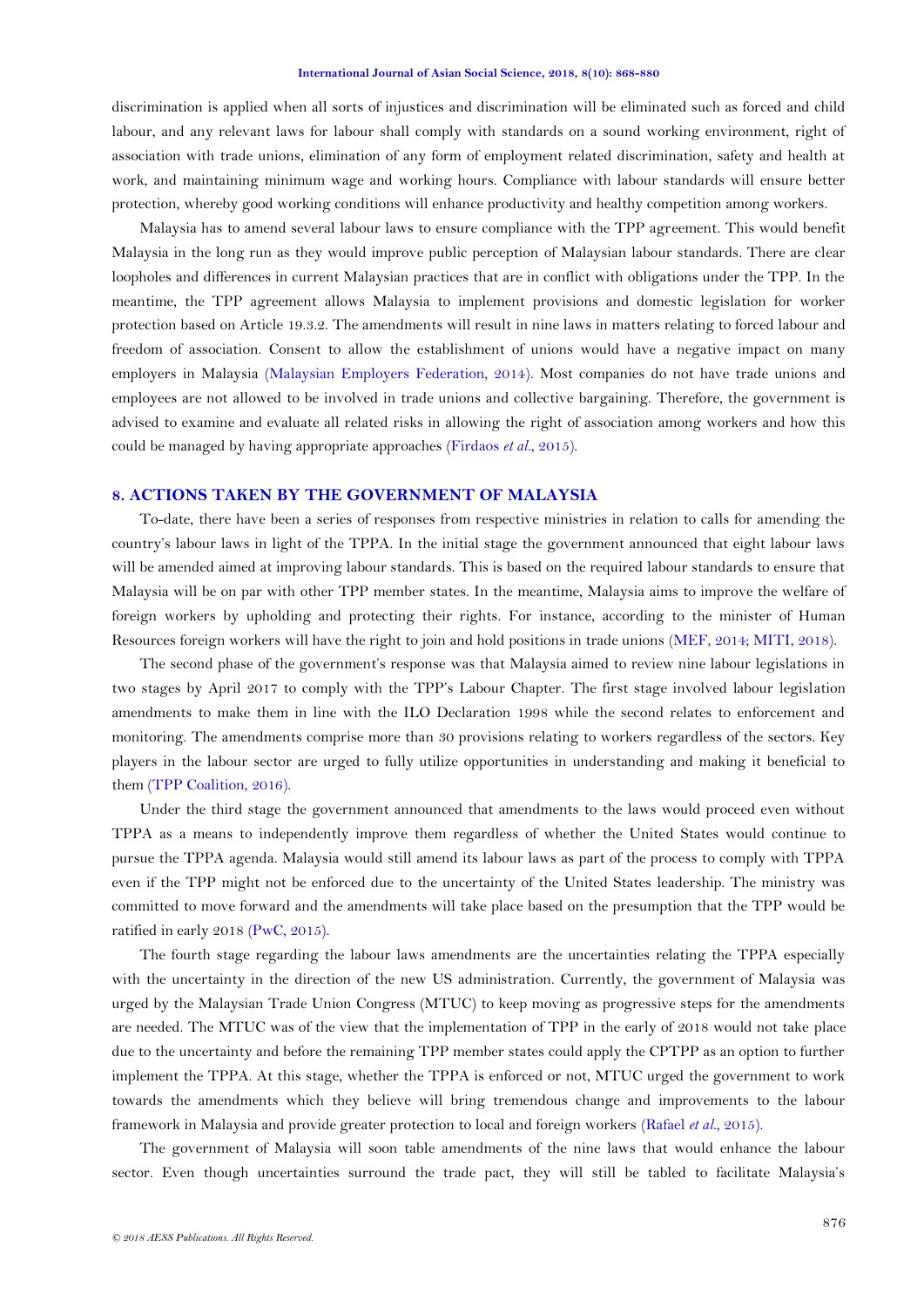discrimination is applied when all sorts of injustices and discrimination will be eliminated such as forced and child labour, and any relevant laws for labour shall comply with standards on a sound working environment, right of association with trade unions, elimination of any form of employment related discrimination, safety and health at work, and maintaining minimum wage and working hours. Compliance with labour standards will ensure better protection, whereby good working conditions will enhance productivity and healthy competition among workers.

Malaysia has to amend several labour laws to ensure compliance with the TPP agreement. This would benefit Malaysia in the long run as they would improve public perception of Malaysian labour standards. There are clear loopholes and differences in current Malaysian practices that are in conflict with obligations under the TPP. In the meantime, the TPP agreement allows Malaysia to implement provisions and domestic legislation for worker protection based on Article 19.3.2. The amendments will result in nine laws in matters relating to forced labour and freedom of association. Consent to allow the establishment of unions would have a negative impact on many employers in Malaysia [\(Malaysian Employers Federation, 2014\)](#page-11-9). Most companies do not have trade unions and employees are not allowed to be involved in trade unions and collective bargaining. Therefore, the government is advised to examine and evaluate all related risks in allowing the right of association among workers and how this could be managed by having appropriate approaches [\(Firdaos](#page-11-8) *et al.*, 2015).

### **8. ACTIONS TAKEN BY THE GOVERNMENT OF MALAYSIA**

To-date, there have been a series of responses from respective ministries in relation to calls for amending the country"s labour laws in light of the TPPA. In the initial stage the government announced that eight labour laws will be amended aimed at improving labour standards. This is based on the required labour standards to ensure that Malaysia will be on par with other TPP member states. In the meantime, Malaysia aims to improve the welfare of foreign workers by upholding and protecting their rights. For instance, according to the minister of Human Resources foreign workers will have the right to join and hold positions in trade unions (MEF, 2014; MITI, 2018).

The second phase of the government's response was that Malaysia aimed to review nine labour legislations in two stages by April 2017 to comply with the TPP"s Labour Chapter. The first stage involved labour legislation amendments to make them in line with the ILO Declaration 1998 while the second relates to enforcement and monitoring. The amendments comprise more than 30 provisions relating to workers regardless of the sectors. Key players in the labour sector are urged to fully utilize opportunities in understanding and making it beneficial to them [\(TPP Coalition, 2016\)](#page-12-3).

Under the third stage the government announced that amendments to the laws would proceed even without TPPA as a means to independently improve them regardless of whether the United States would continue to pursue the TPPA agenda. Malaysia would still amend its labour laws as part of the process to comply with TPPA even if the TPP might not be enforced due to the uncertainty of the United States leadership. The ministry was committed to move forward and the amendments will take place based on the presumption that the TPP would be ratified in early 2018 [\(PwC, 2015\)](#page-12-11).

The fourth stage regarding the labour laws amendments are the uncertainties relating the TPPA especially with the uncertainty in the direction of the new US administration. Currently, the government of Malaysia was urged by the Malaysian Trade Union Congress (MTUC) to keep moving as progressive steps for the amendments are needed. The MTUC was of the view that the implementation of TPP in the early of 2018 would not take place due to the uncertainty and before the remaining TPP member states could apply the CPTPP as an option to further implement the TPPA. At this stage, whether the TPPA is enforced or not, MTUC urged the government to work towards the amendments which they believe will bring tremendous change and improvements to the labour framework in Malaysia and provide greater protection to local and foreign workers [\(Rafael](#page-12-12) *et al.*, 2015).

The government of Malaysia will soon table amendments of the nine laws that would enhance the labour sector. Even though uncertainties surround the trade pact, they will still be tabled to facilitate Malaysia's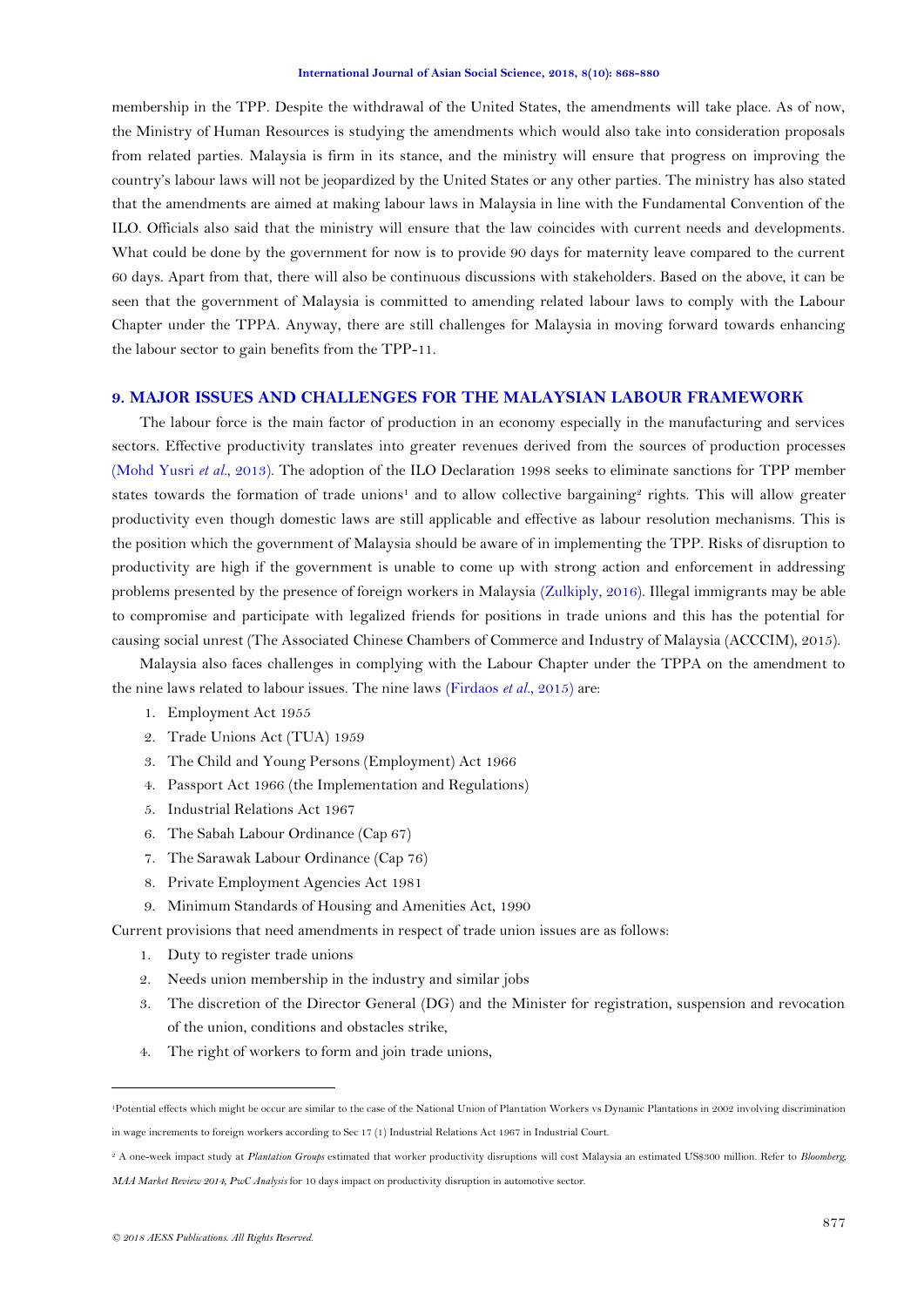membership in the TPP. Despite the withdrawal of the United States, the amendments will take place. As of now, the Ministry of Human Resources is studying the amendments which would also take into consideration proposals from related parties. Malaysia is firm in its stance, and the ministry will ensure that progress on improving the country"s labour laws will not be jeopardized by the United States or any other parties. The ministry has also stated that the amendments are aimed at making labour laws in Malaysia in line with the Fundamental Convention of the ILO. Officials also said that the ministry will ensure that the law coincides with current needs and developments. What could be done by the government for now is to provide 90 days for maternity leave compared to the current 60 days. Apart from that, there will also be continuous discussions with stakeholders. Based on the above, it can be seen that the government of Malaysia is committed to amending related labour laws to comply with the Labour Chapter under the TPPA. Anyway, there are still challenges for Malaysia in moving forward towards enhancing the labour sector to gain benefits from the TPP-11.

## **9. MAJOR ISSUES AND CHALLENGES FOR THE MALAYSIAN LABOUR FRAMEWORK**

The labour force is the main factor of production in an economy especially in the manufacturing and services sectors. Effective productivity translates into greater revenues derived from the sources of production processes [\(Mohd Yusri](#page-12-13) *et al.*, 2013). The adoption of the ILO Declaration 1998 seeks to eliminate sanctions for TPP member states towards the formation of trade unions<sup>1</sup> and to allow collective bargaining<sup>2</sup> rights. This will allow greater productivity even though domestic laws are still applicable and effective as labour resolution mechanisms. This is the position which the government of Malaysia should be aware of in implementing the TPP. Risks of disruption to productivity are high if the government is unable to come up with strong action and enforcement in addressing problems presented by the presence of foreign workers in Malaysia [\(Zulkiply, 2016\)](#page-12-14). Illegal immigrants may be able to compromise and participate with legalized friends for positions in trade unions and this has the potential for causing social unrest (The Associated Chinese Chambers of Commerce and Industry of Malaysia (ACCCIM), 2015).

Malaysia also faces challenges in complying with the Labour Chapter under the TPPA on the amendment to the nine laws related to labour issues. The nine laws [\(Firdaos](#page-11-8) *et al.*, 2015) are:

- 1. Employment Act 1955
- 2. Trade Unions Act (TUA) 1959
- 3. The Child and Young Persons (Employment) Act 1966
- 4. Passport Act 1966 (the Implementation and Regulations)
- 5. Industrial Relations Act 1967
- 6. The Sabah Labour Ordinance (Cap 67)
- 7. The Sarawak Labour Ordinance (Cap 76)
- 8. Private Employment Agencies Act 1981
- 9. Minimum Standards of Housing and Amenities Act, 1990

Current provisions that need amendments in respect of trade union issues are as follows:

- 1. Duty to register trade unions
- 2. Needs union membership in the industry and similar jobs
- 3. The discretion of the Director General (DG) and the Minister for registration, suspension and revocation of the union, conditions and obstacles strike,
- 4. The right of workers to form and join trade unions,

1

<sup>1</sup>Potential effects which might be occur are similar to the case of the National Union of Plantation Workers vs Dynamic Plantations in 2002 involving discrimination

in wage increments to foreign workers according to Sec 17 (1) Industrial Relations Act 1967 in Industrial Court.

<sup>2</sup> A one-week impact study at *Plantation Groups* estimated that worker productivity disruptions will cost Malaysia an estimated US\$300 million. Refer to *Bloomberg,* 

*MAA Market Review 2014, PwC Analysis* for 10 days impact on productivity disruption in automotive sector.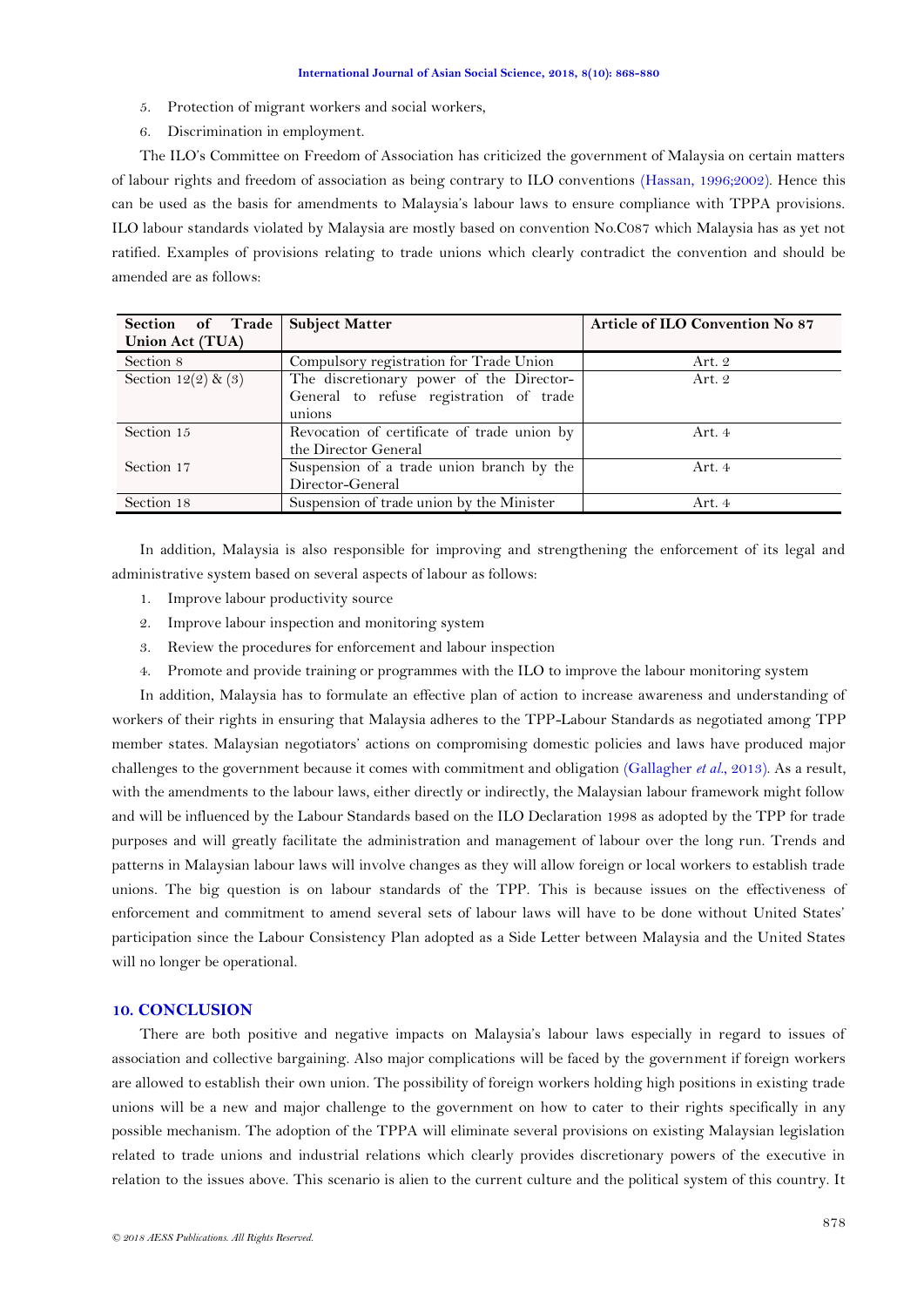- 5. Protection of migrant workers and social workers,
- 6. Discrimination in employment.

The ILO"s Committee on Freedom of Association has criticized the government of Malaysia on certain matters of labour rights and freedom of association as being contrary to ILO conventions [\(Hassan, 1996;2002\)](#page-11-10). Hence this can be used as the basis for amendments to Malaysia"s labour laws to ensure compliance with TPPA provisions. ILO labour standards violated by Malaysia are mostly based on convention No.C087 which Malaysia has as yet not ratified. Examples of provisions relating to trade unions which clearly contradict the convention and should be amended are as follows:

| Section of Trade   Subject Matter |                                             | <b>Article of ILO Convention No 87</b> |
|-----------------------------------|---------------------------------------------|----------------------------------------|
| Union Act (TUA)                   |                                             |                                        |
| Section 8                         | Compulsory registration for Trade Union     | Art. 2                                 |
| Section $12(2)$ & (3)             | The discretionary power of the Director-    | Art. 2                                 |
|                                   | General to refuse registration of trade     |                                        |
|                                   | unions                                      |                                        |
| Section 15                        | Revocation of certificate of trade union by | Art. 4                                 |
|                                   | the Director General                        |                                        |
| Section 17                        | Suspension of a trade union branch by the   | Art. 4                                 |
|                                   | Director-General                            |                                        |
| Section 18                        | Suspension of trade union by the Minister   | Art. 4                                 |

In addition, Malaysia is also responsible for improving and strengthening the enforcement of its legal and administrative system based on several aspects of labour as follows:

- 1. Improve labour productivity source
- 2. Improve labour inspection and monitoring system
- 3. Review the procedures for enforcement and labour inspection
- 4. Promote and provide training or programmes with the ILO to improve the labour monitoring system

In addition, Malaysia has to formulate an effective plan of action to increase awareness and understanding of workers of their rights in ensuring that Malaysia adheres to the TPP-Labour Standards as negotiated among TPP member states. Malaysian negotiators" actions on compromising domestic policies and laws have produced major challenges to the government because it comes with commitment and obligation [\(Gallagher](#page-11-11) *et al.*, 2013). As a result, with the amendments to the labour laws, either directly or indirectly, the Malaysian labour framework might follow and will be influenced by the Labour Standards based on the ILO Declaration 1998 as adopted by the TPP for trade purposes and will greatly facilitate the administration and management of labour over the long run. Trends and patterns in Malaysian labour laws will involve changes as they will allow foreign or local workers to establish trade unions. The big question is on labour standards of the TPP. This is because issues on the effectiveness of enforcement and commitment to amend several sets of labour laws will have to be done without United States" participation since the Labour Consistency Plan adopted as a Side Letter between Malaysia and the United States will no longer be operational.

### **10. CONCLUSION**

There are both positive and negative impacts on Malaysia's labour laws especially in regard to issues of association and collective bargaining. Also major complications will be faced by the government if foreign workers are allowed to establish their own union. The possibility of foreign workers holding high positions in existing trade unions will be a new and major challenge to the government on how to cater to their rights specifically in any possible mechanism. The adoption of the TPPA will eliminate several provisions on existing Malaysian legislation related to trade unions and industrial relations which clearly provides discretionary powers of the executive in relation to the issues above. This scenario is alien to the current culture and the political system of this country. It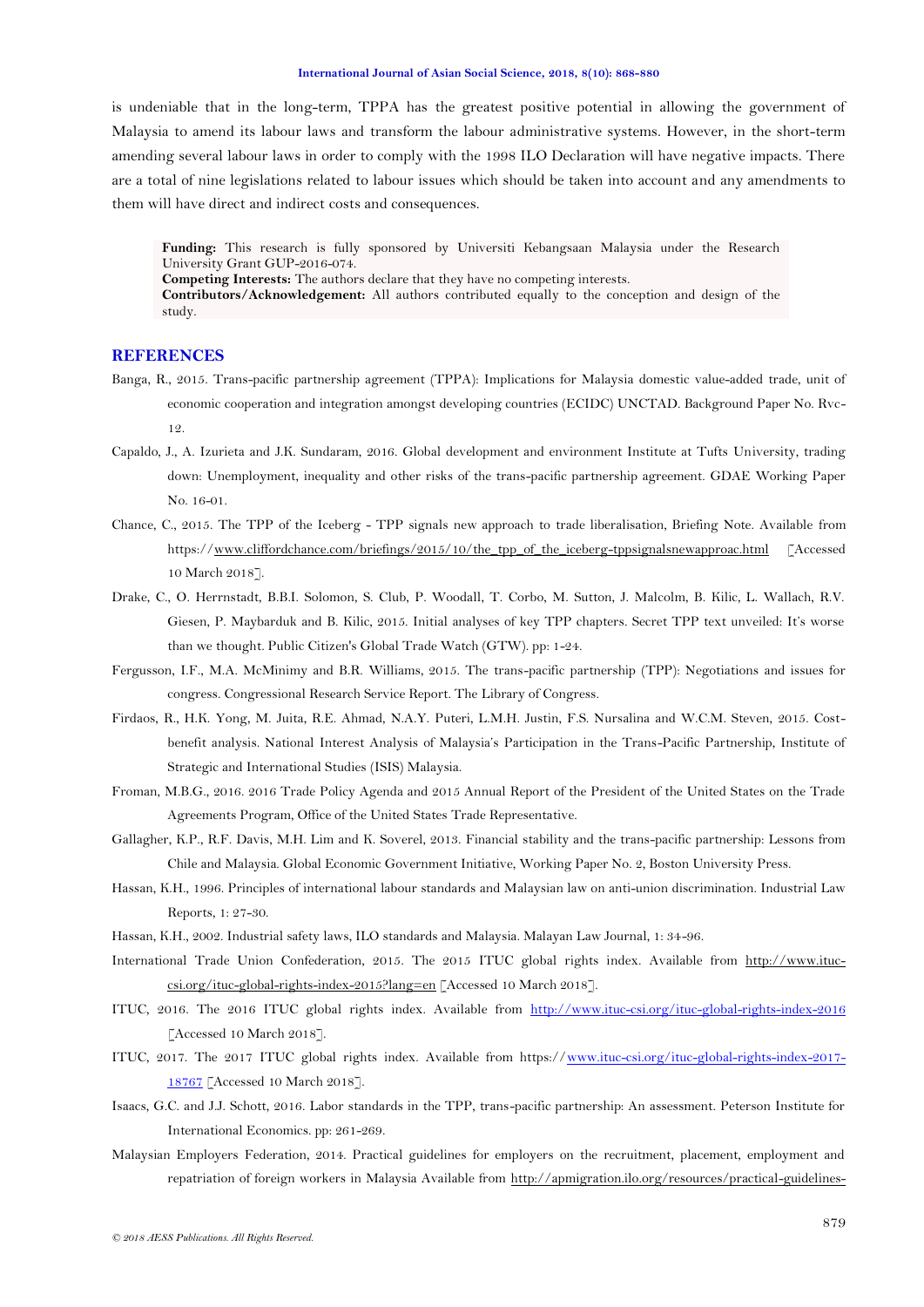is undeniable that in the long-term, TPPA has the greatest positive potential in allowing the government of Malaysia to amend its labour laws and transform the labour administrative systems. However, in the short-term amending several labour laws in order to comply with the 1998 ILO Declaration will have negative impacts. There are a total of nine legislations related to labour issues which should be taken into account and any amendments to them will have direct and indirect costs and consequences.

Funding: This research is fully sponsored by Universiti Kebangsaan Malaysia under the Research University Grant GUP-2016-074. **Competing Interests:** The authors declare that they have no competing interests. **Contributors/Acknowledgement:** All authors contributed equally to the conception and design of the study.

### **REFERENCES**

- <span id="page-11-3"></span>Banga, R., 2015. Trans-pacific partnership agreement (TPPA): Implications for Malaysia domestic value-added trade, unit of economic cooperation and integration amongst developing countries (ECIDC) UNCTAD. Background Paper No. Rvc-
	- 12.
- <span id="page-11-0"></span>Capaldo, J., A. Izurieta and J.K. Sundaram, 2016. Global development and environment Institute at Tufts University, trading down: Unemployment, inequality and other risks of the trans-pacific partnership agreement. GDAE Working Paper No. 16-01.
- <span id="page-11-1"></span>Chance, C., 2015. The TPP of the Iceberg - TPP signals new approach to trade liberalisation, Briefing Note. Available from https:/[/www.cliffordchance.com/briefings/2015/10/the\\_tpp\\_of\\_the\\_iceberg-tppsignalsnewapproac.html](http://www.cliffordchance.com/briefings/2015/10/the_tpp_of_the_iceberg-tppsignalsnewapproac.html) [Accessed] 10 March 2018].
- <span id="page-11-5"></span>Drake, C., O. Herrnstadt, B.B.I. Solomon, S. Club, P. Woodall, T. Corbo, M. Sutton, J. Malcolm, B. Kilic, L. Wallach, R.V. Giesen, P. Maybarduk and B. Kilic, 2015. Initial analyses of key TPP chapters. Secret TPP text unveiled: It's worse than we thought. Public Citizen's Global Trade Watch (GTW). pp: 1-24.
- <span id="page-11-4"></span>Fergusson, I.F., M.A. McMinimy and B.R. Williams, 2015. The trans-pacific partnership (TPP): Negotiations and issues for congress. Congressional Research Service Report. The Library of Congress.
- <span id="page-11-8"></span>Firdaos, R., H.K. Yong, M. Juita, R.E. Ahmad, N.A.Y. Puteri, L.M.H. Justin, F.S. Nursalina and W.C.M. Steven, 2015. Costbenefit analysis. National Interest Analysis of Malaysia"s Participation in the Trans-Pacific Partnership, Institute of Strategic and International Studies (ISIS) Malaysia.
- <span id="page-11-2"></span>Froman, M.B.G., 2016. 2016 Trade Policy Agenda and 2015 Annual Report of the President of the United States on the Trade Agreements Program, Office of the United States Trade Representative.
- <span id="page-11-11"></span>Gallagher, K.P., R.F. Davis, M.H. Lim and K. Soverel, 2013. Financial stability and the trans-pacific partnership: Lessons from Chile and Malaysia. Global Economic Government Initiative, Working Paper No. 2, Boston University Press.
- <span id="page-11-10"></span>Hassan, K.H., 1996. Principles of international labour standards and Malaysian law on anti-union discrimination. Industrial Law Reports, 1: 27-30.
- Hassan, K.H., 2002. Industrial safety laws, ILO standards and Malaysia. Malayan Law Journal, 1: 34-96.
- <span id="page-11-7"></span>International Trade Union Confederation, 2015. The 2015 ITUC global rights index. Available from [http://www.ituc](http://www.ituc-csi.org/ituc-global-rights-index-2015?lang=en)[csi.org/ituc-global-rights-index-2015?lang=en](http://www.ituc-csi.org/ituc-global-rights-index-2015?lang=en) [Accessed 10 March 2018].
- ITUC, 2016. The 2016 ITUC global rights index. Available from <http://www.ituc-csi.org/ituc-global-rights-index-2016> [Accessed 10 March 2018].
- ITUC, 2017. The 2017 ITUC global rights index. Available from https:/[/www.ituc-csi.org/ituc-global-rights-index-2017-](http://www.ituc-csi.org/ituc-global-rights-index-2017-18767) [18767](http://www.ituc-csi.org/ituc-global-rights-index-2017-18767) [Accessed 10 March 2018].
- <span id="page-11-6"></span>Isaacs, G.C. and J.J. Schott, 2016. Labor standards in the TPP, trans-pacific partnership: An assessment. Peterson Institute for International Economics. pp: 261-269.
- <span id="page-11-9"></span>Malaysian Employers Federation, 2014. Practical guidelines for employers on the recruitment, placement, employment and repatriation of foreign workers in Malaysia Available from [http://apmigration.ilo.org/resources/practical-guidelines-](http://apmigration.ilo.org/resources/practical-guidelines-for-employers-on-the-recruitment-placement-employment-and-repatriation-of-foreign-workers-in-malaysia)